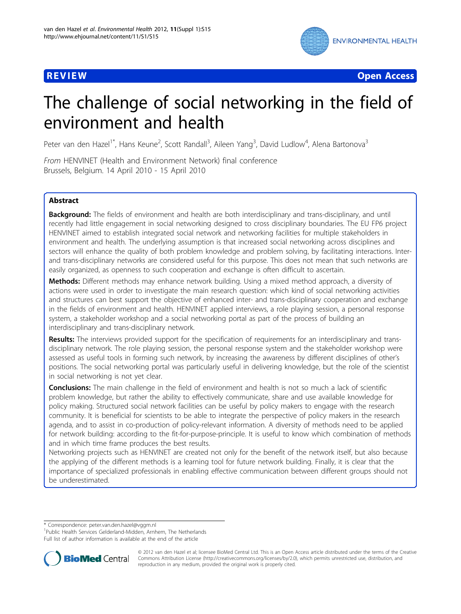

**REVIEW CONTROL** CONTROL CONTROL CONTROL CONTROL CONTROL CONTROL CONTROL CONTROL CONTROL CONTROL CONTROL CONTROL CONTROL CONTROL CONTROL CONTROL CONTROL CONTROL CONTROL CONTROL CONTROL CONTROL CONTROL CONTROL CONTROL CONTR

# The challenge of social networking in the field of environment and health

Peter van den Hazel<sup>1\*</sup>, Hans Keune<sup>2</sup>, Scott Randall<sup>3</sup>, Aileen Yang<sup>3</sup>, David Ludlow<sup>4</sup>, Alena Bartonova<sup>3</sup>

From HENVINET (Health and Environment Network) final conference Brussels, Belgium. 14 April 2010 - 15 April 2010

# Abstract

**Background:** The fields of environment and health are both interdisciplinary and trans-disciplinary, and until recently had little engagement in social networking designed to cross disciplinary boundaries. The EU FP6 project HENVINET aimed to establish integrated social network and networking facilities for multiple stakeholders in environment and health. The underlying assumption is that increased social networking across disciplines and sectors will enhance the quality of both problem knowledge and problem solving, by facilitating interactions. Interand trans-disciplinary networks are considered useful for this purpose. This does not mean that such networks are easily organized, as openness to such cooperation and exchange is often difficult to ascertain.

Methods: Different methods may enhance network building. Using a mixed method approach, a diversity of actions were used in order to investigate the main research question: which kind of social networking activities and structures can best support the objective of enhanced inter- and trans-disciplinary cooperation and exchange in the fields of environment and health. HENVINET applied interviews, a role playing session, a personal response system, a stakeholder workshop and a social networking portal as part of the process of building an interdisciplinary and trans-disciplinary network.

Results: The interviews provided support for the specification of requirements for an interdisciplinary and transdisciplinary network. The role playing session, the personal response system and the stakeholder workshop were assessed as useful tools in forming such network, by increasing the awareness by different disciplines of other's positions. The social networking portal was particularly useful in delivering knowledge, but the role of the scientist in social networking is not yet clear.

**Conclusions:** The main challenge in the field of environment and health is not so much a lack of scientific problem knowledge, but rather the ability to effectively communicate, share and use available knowledge for policy making. Structured social network facilities can be useful by policy makers to engage with the research community. It is beneficial for scientists to be able to integrate the perspective of policy makers in the research agenda, and to assist in co-production of policy-relevant information. A diversity of methods need to be applied for network building: according to the fit-for-purpose-principle. It is useful to know which combination of methods and in which time frame produces the best results.

Networking projects such as HENVINET are created not only for the benefit of the network itself, but also because the applying of the different methods is a learning tool for future network building. Finally, it is clear that the importance of specialized professionals in enabling effective communication between different groups should not be underestimated.

\* Correspondence: [peter.van.den.hazel@vggm.nl](mailto:peter.van.den.hazel@vggm.nl)

1 Public Health Services Gelderland-Midden, Arnhem, The Netherlands

Full list of author information is available at the end of the article



© 2012 van den Hazel et al; licensee BioMed Central Ltd. This is an Open Access article distributed under the terms of the Creative Bio Med Central Commons Attribution License [\(http://creativecommons.org/licenses/by/2.0](http://creativecommons.org/licenses/by/2.0)), which permits unrestricted use, distribution, and reproduction in any medium, provided the original work is properly cited.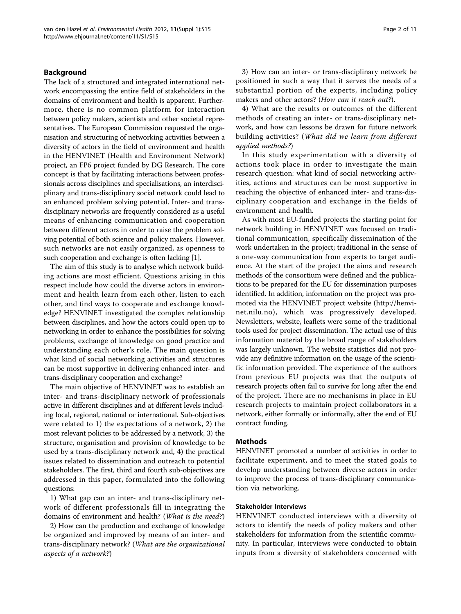#### Background

The lack of a structured and integrated international network encompassing the entire field of stakeholders in the domains of environment and health is apparent. Furthermore, there is no common platform for interaction between policy makers, scientists and other societal representatives. The European Commission requested the organisation and structuring of networking activities between a diversity of actors in the field of environment and health in the HENVINET (Health and Environment Network) project, an FP6 project funded by DG Research. The core concept is that by facilitating interactions between professionals across disciplines and specialisations, an interdisciplinary and trans-disciplinary social network could lead to an enhanced problem solving potential. Inter- and transdisciplinary networks are frequently considered as a useful means of enhancing communication and cooperation between different actors in order to raise the problem solving potential of both science and policy makers. However, such networks are not easily organized, as openness to such cooperation and exchange is often lacking [\[1](#page-9-0)].

The aim of this study is to analyse which network building actions are most efficient. Questions arising in this respect include how could the diverse actors in environment and health learn from each other, listen to each other, and find ways to cooperate and exchange knowledge? HENVINET investigated the complex relationship between disciplines, and how the actors could open up to networking in order to enhance the possibilities for solving problems, exchange of knowledge on good practice and understanding each other's role. The main question is what kind of social networking activities and structures can be most supportive in delivering enhanced inter- and trans-disciplinary cooperation and exchange?

The main objective of HENVINET was to establish an inter- and trans-disciplinary network of professionals active in different disciplines and at different levels including local, regional, national or international. Sub-objectives were related to 1) the expectations of a network, 2) the most relevant policies to be addressed by a network, 3) the structure, organisation and provision of knowledge to be used by a trans-disciplinary network and, 4) the practical issues related to dissemination and outreach to potential stakeholders. The first, third and fourth sub-objectives are addressed in this paper, formulated into the following questions:

1) What gap can an inter- and trans-disciplinary network of different professionals fill in integrating the domains of environment and health? (What is the need?)

2) How can the production and exchange of knowledge be organized and improved by means of an inter- and trans-disciplinary network? (What are the organizational aspects of a network?)

3) How can an inter- or trans-disciplinary network be positioned in such a way that it serves the needs of a substantial portion of the experts, including policy makers and other actors? (How can it reach out?).

4) What are the results or outcomes of the different methods of creating an inter- or trans-disciplinary network, and how can lessons be drawn for future network building activities? (What did we learn from different applied methods?)

In this study experimentation with a diversity of actions took place in order to investigate the main research question: what kind of social networking activities, actions and structures can be most supportive in reaching the objective of enhanced inter- and trans-disciplinary cooperation and exchange in the fields of environment and health.

As with most EU-funded projects the starting point for network building in HENVINET was focused on traditional communication, specifically dissemination of the work undertaken in the project; traditional in the sense of a one-way communication from experts to target audience. At the start of the project the aims and research methods of the consortium were defined and the publications to be prepared for the EU for dissemination purposes identified. In addition, information on the project was promoted via the HENVINET project website ([http://henvi](http://henvinet.nilu.no)[net.nilu.no](http://henvinet.nilu.no)), which was progressively developed. Newsletters, website, leaflets were some of the traditional tools used for project dissemination. The actual use of this information material by the broad range of stakeholders was largely unknown. The website statistics did not provide any definitive information on the usage of the scientific information provided. The experience of the authors from previous EU projects was that the outputs of research projects often fail to survive for long after the end of the project. There are no mechanisms in place in EU research projects to maintain project collaborators in a network, either formally or informally, after the end of EU contract funding.

#### Methods

HENVINET promoted a number of activities in order to facilitate experiment, and to meet the stated goals to develop understanding between diverse actors in order to improve the process of trans-disciplinary communication via networking.

#### Stakeholder Interviews

HENVINET conducted interviews with a diversity of actors to identify the needs of policy makers and other stakeholders for information from the scientific community. In particular, interviews were conducted to obtain inputs from a diversity of stakeholders concerned with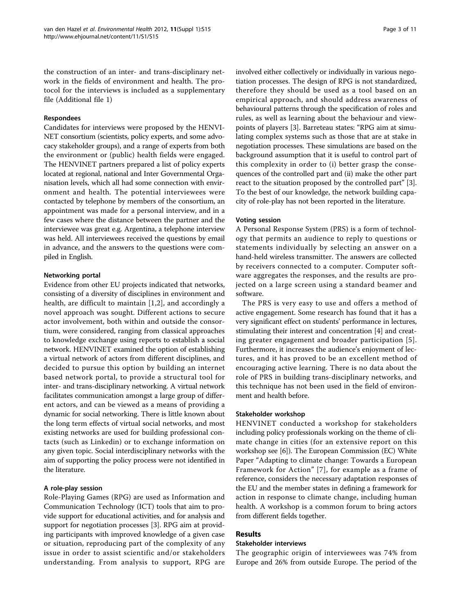the construction of an inter- and trans-disciplinary network in the fields of environment and health. The protocol for the interviews is included as a supplementary file (Additional file [1](#page-9-0))

#### Respondees

Candidates for interviews were proposed by the HENVI-NET consortium (scientists, policy experts, and some advocacy stakeholder groups), and a range of experts from both the environment or (public) health fields were engaged. The HENVINET partners prepared a list of policy experts located at regional, national and Inter Governmental Organisation levels, which all had some connection with environment and health. The potential interviewees were contacted by telephone by members of the consortium, an appointment was made for a personal interview, and in a few cases where the distance between the partner and the interviewee was great e.g. Argentina, a telephone interview was held. All interviewees received the questions by email in advance, and the answers to the questions were compiled in English.

#### Networking portal

Evidence from other EU projects indicated that networks, consisting of a diversity of disciplines in environment and health, are difficult to maintain [[1](#page-9-0),[2\]](#page-9-0), and accordingly a novel approach was sought. Different actions to secure actor involvement, both within and outside the consortium, were considered, ranging from classical approaches to knowledge exchange using reports to establish a social network. HENVINET examined the option of establishing a virtual network of actors from different disciplines, and decided to pursue this option by building an internet based network portal, to provide a structural tool for inter- and trans-disciplinary networking. A virtual network facilitates communication amongst a large group of different actors, and can be viewed as a means of providing a dynamic for social networking. There is little known about the long term effects of virtual social networks, and most existing networks are used for building professional contacts (such as Linkedin) or to exchange information on any given topic. Social interdisciplinary networks with the aim of supporting the policy process were not identified in the literature.

## A role-play session

Role-Playing Games (RPG) are used as Information and Communication Technology (ICT) tools that aim to provide support for educational activities, and for analysis and support for negotiation processes [\[3\]](#page-9-0). RPG aim at providing participants with improved knowledge of a given case or situation, reproducing part of the complexity of any issue in order to assist scientific and/or stakeholders understanding. From analysis to support, RPG are involved either collectively or individually in various negotiation processes. The design of RPG is not standardized, therefore they should be used as a tool based on an empirical approach, and should address awareness of behavioural patterns through the specification of roles and rules, as well as learning about the behaviour and viewpoints of players [\[3](#page-9-0)]. Barreteau states: "RPG aim at simulating complex systems such as those that are at stake in negotiation processes. These simulations are based on the background assumption that it is useful to control part of this complexity in order to (i) better grasp the consequences of the controlled part and (ii) make the other part react to the situation proposed by the controlled part" [\[3](#page-9-0)]. To the best of our knowledge, the network building capacity of role-play has not been reported in the literature.

#### Voting session

A Personal Response System (PRS) is a form of technology that permits an audience to reply to questions or statements individually by selecting an answer on a hand-held wireless transmitter. The answers are collected by receivers connected to a computer. Computer software aggregates the responses, and the results are projected on a large screen using a standard beamer and software.

The PRS is very easy to use and offers a method of active engagement. Some research has found that it has a very significant effect on students' performance in lectures, stimulating their interest and concentration [[4\]](#page-9-0) and creating greater engagement and broader participation [[5\]](#page-9-0). Furthermore, it increases the audience's enjoyment of lectures, and it has proved to be an excellent method of encouraging active learning. There is no data about the role of PRS in building trans-disciplinary networks, and this technique has not been used in the field of environment and health before.

## Stakeholder workshop

HENVINET conducted a workshop for stakeholders including policy professionals working on the theme of climate change in cities (for an extensive report on this workshop see [[6](#page-9-0)]). The European Commission (EC) White Paper "Adapting to climate change: Towards a European Framework for Action" [[7](#page-9-0)], for example as a frame of reference, considers the necessary adaptation responses of the EU and the member states in defining a framework for action in response to climate change, including human health. A workshop is a common forum to bring actors from different fields together.

# Results

#### Stakeholder interviews

The geographic origin of interviewees was 74% from Europe and 26% from outside Europe. The period of the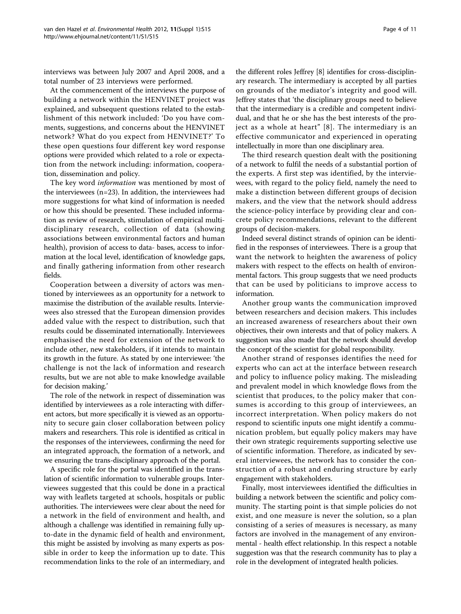interviews was between July 2007 and April 2008, and a total number of 23 interviews were performed.

At the commencement of the interviews the purpose of building a network within the HENVINET project was explained, and subsequent questions related to the establishment of this network included: 'Do you have comments, suggestions, and concerns about the HENVINET network? What do you expect from HENVINET?' To these open questions four different key word response options were provided which related to a role or expectation from the network including: information, cooperation, dissemination and policy.

The key word *information* was mentioned by most of the interviewees (n=23). In addition, the interviewees had more suggestions for what kind of information is needed or how this should be presented. These included information as review of research, stimulation of empirical multidisciplinary research, collection of data (showing associations between environmental factors and human health), provision of access to data- bases, access to information at the local level, identification of knowledge gaps, and finally gathering information from other research fields.

Cooperation between a diversity of actors was mentioned by interviewees as an opportunity for a network to maximise the distribution of the available results. Interviewees also stressed that the European dimension provides added value with the respect to distribution, such that results could be disseminated internationally. Interviewees emphasised the need for extension of the network to include other, new stakeholders, if it intends to maintain its growth in the future. As stated by one interviewee: 'the challenge is not the lack of information and research results, but we are not able to make knowledge available for decision making.'

The role of the network in respect of dissemination was identified by interviewees as a role interacting with different actors, but more specifically it is viewed as an opportunity to secure gain closer collaboration between policy makers and researchers. This role is identified as critical in the responses of the interviewees, confirming the need for an integrated approach, the formation of a network, and we ensuring the trans-disciplinary approach of the portal.

A specific role for the portal was identified in the translation of scientific information to vulnerable groups. Interviewees suggested that this could be done in a practical way with leaflets targeted at schools, hospitals or public authorities. The interviewees were clear about the need for a network in the field of environment and health, and although a challenge was identified in remaining fully upto-date in the dynamic field of health and environment, this might be assisted by involving as many experts as possible in order to keep the information up to date. This recommendation links to the role of an intermediary, and

the different roles Jeffrey [[8\]](#page-9-0) identifies for cross-disciplinary research. The intermediary is accepted by all parties on grounds of the mediator's integrity and good will. Jeffrey states that 'the disciplinary groups need to believe that the intermediary is a credible and competent individual, and that he or she has the best interests of the project as a whole at heart" [[8\]](#page-9-0). The intermediary is an effective communicator and experienced in operating intellectually in more than one disciplinary area.

The third research question dealt with the positioning of a network to fulfil the needs of a substantial portion of the experts. A first step was identified, by the interviewees, with regard to the policy field, namely the need to make a distinction between different groups of decision makers, and the view that the network should address the science-policy interface by providing clear and concrete policy recommendations, relevant to the different groups of decision-makers.

Indeed several distinct strands of opinion can be identified in the responses of interviewees. There is a group that want the network to heighten the awareness of policy makers with respect to the effects on health of environmental factors. This group suggests that we need products that can be used by politicians to improve access to information.

Another group wants the communication improved between researchers and decision makers. This includes an increased awareness of researchers about their own objectives, their own interests and that of policy makers. A suggestion was also made that the network should develop the concept of the scientist for global responsibility.

Another strand of responses identifies the need for experts who can act at the interface between research and policy to influence policy making. The misleading and prevalent model in which knowledge flows from the scientist that produces, to the policy maker that consumes is according to this group of interviewees, an incorrect interpretation. When policy makers do not respond to scientific inputs one might identify a communication problem, but equally policy makers may have their own strategic requirements supporting selective use of scientific information. Therefore, as indicated by several interviewees, the network has to consider the construction of a robust and enduring structure by early engagement with stakeholders.

Finally, most interviewees identified the difficulties in building a network between the scientific and policy community. The starting point is that simple policies do not exist, and one measure is never the solution, so a plan consisting of a series of measures is necessary, as many factors are involved in the management of any environmental - health effect relationship. In this respect a notable suggestion was that the research community has to play a role in the development of integrated health policies.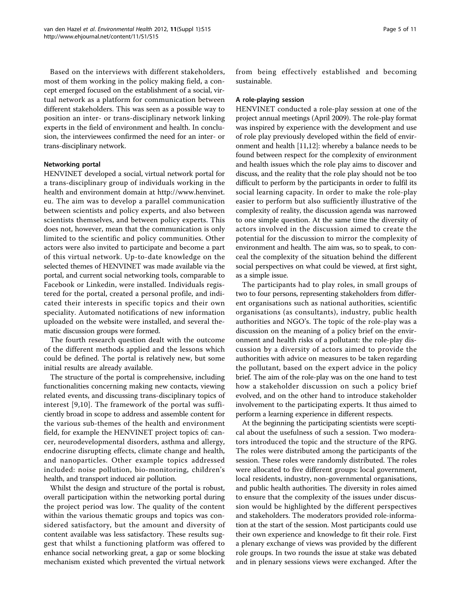Based on the interviews with different stakeholders, most of them working in the policy making field, a concept emerged focused on the establishment of a social, virtual network as a platform for communication between different stakeholders. This was seen as a possible way to position an inter- or trans-disciplinary network linking experts in the field of environment and health. In conclusion, the interviewees confirmed the need for an inter- or trans-disciplinary network.

#### Networking portal

HENVINET developed a social, virtual network portal for a trans-disciplinary group of individuals working in the health and environment domain at [http://www.henvinet.](http://www.henvinet.eu) [eu.](http://www.henvinet.eu) The aim was to develop a parallel communication between scientists and policy experts, and also between scientists themselves, and between policy experts. This does not, however, mean that the communication is only limited to the scientific and policy communities. Other actors were also invited to participate and become a part of this virtual network. Up-to-date knowledge on the selected themes of HENVINET was made available via the portal, and current social networking tools, comparable to Facebook or Linkedin, were installed. Individuals registered for the portal, created a personal profile, and indicated their interests in specific topics and their own speciality. Automated notifications of new information uploaded on the website were installed, and several thematic discussion groups were formed.

The fourth research question dealt with the outcome of the different methods applied and the lessons which could be defined. The portal is relatively new, but some initial results are already available.

The structure of the portal is comprehensive, including functionalities concerning making new contacts, viewing related events, and discussing trans-disciplinary topics of interest [[9,10\]](#page-9-0). The framework of the portal was sufficiently broad in scope to address and assemble content for the various sub-themes of the health and environment field, for example the HENVINET project topics of: cancer, neurodevelopmental disorders, asthma and allergy, endocrine disrupting effects, climate change and health, and nanoparticles. Other example topics addressed included: noise pollution, bio-monitoring, children's health, and transport induced air pollution.

Whilst the design and structure of the portal is robust, overall participation within the networking portal during the project period was low. The quality of the content within the various thematic groups and topics was considered satisfactory, but the amount and diversity of content available was less satisfactory. These results suggest that whilst a functioning platform was offered to enhance social networking great, a gap or some blocking mechanism existed which prevented the virtual network from being effectively established and becoming sustainable.

#### A role-playing session

HENVINET conducted a role-play session at one of the project annual meetings (April 2009). The role-play format was inspired by experience with the development and use of role play previously developed within the field of environment and health [[11,12](#page-9-0)]: whereby a balance needs to be found between respect for the complexity of environment and health issues which the role play aims to discover and discuss, and the reality that the role play should not be too difficult to perform by the participants in order to fulfil its social learning capacity. In order to make the role-play easier to perform but also sufficiently illustrative of the complexity of reality, the discussion agenda was narrowed to one simple question. At the same time the diversity of actors involved in the discussion aimed to create the potential for the discussion to mirror the complexity of environment and health. The aim was, so to speak, to conceal the complexity of the situation behind the different social perspectives on what could be viewed, at first sight, as a simple issue.

The participants had to play roles, in small groups of two to four persons, representing stakeholders from different organisations such as national authorities, scientific organisations (as consultants), industry, public health authorities and NGO's. The topic of the role-play was a discussion on the meaning of a policy brief on the environment and health risks of a pollutant: the role-play discussion by a diversity of actors aimed to provide the authorities with advice on measures to be taken regarding the pollutant, based on the expert advice in the policy brief. The aim of the role-play was on the one hand to test how a stakeholder discussion on such a policy brief evolved, and on the other hand to introduce stakeholder involvement to the participating experts. It thus aimed to perform a learning experience in different respects.

At the beginning the participating scientists were sceptical about the usefulness of such a session. Two moderators introduced the topic and the structure of the RPG. The roles were distributed among the participants of the session. These roles were randomly distributed. The roles were allocated to five different groups: local government, local residents, industry, non-governmental organisations, and public health authorities. The diversity in roles aimed to ensure that the complexity of the issues under discussion would be highlighted by the different perspectives and stakeholders. The moderators provided role-information at the start of the session. Most participants could use their own experience and knowledge to fit their role. First a plenary exchange of views was provided by the different role groups. In two rounds the issue at stake was debated and in plenary sessions views were exchanged. After the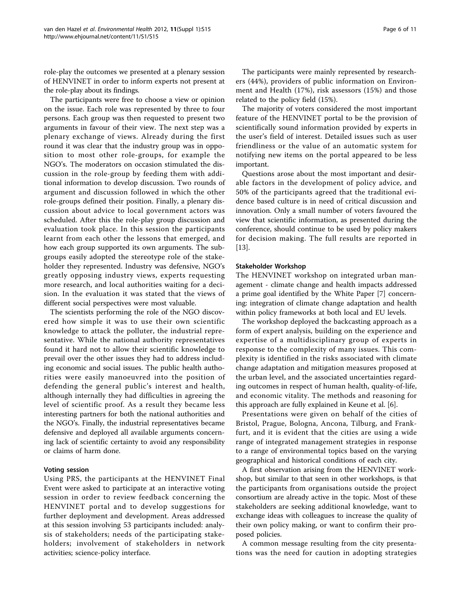role-play the outcomes we presented at a plenary session of HENVINET in order to inform experts not present at the role-play about its findings.

The participants were free to choose a view or opinion on the issue. Each role was represented by three to four persons. Each group was then requested to present two arguments in favour of their view. The next step was a plenary exchange of views. Already during the first round it was clear that the industry group was in opposition to most other role-groups, for example the NGO's. The moderators on occasion stimulated the discussion in the role-group by feeding them with additional information to develop discussion. Two rounds of argument and discussion followed in which the other role-groups defined their position. Finally, a plenary discussion about advice to local government actors was scheduled. After this the role-play group discussion and evaluation took place. In this session the participants learnt from each other the lessons that emerged, and how each group supported its own arguments. The subgroups easily adopted the stereotype role of the stakeholder they represented. Industry was defensive, NGO's greatly opposing industry views, experts requesting more research, and local authorities waiting for a decision. In the evaluation it was stated that the views of different social perspectives were most valuable.

The scientists performing the role of the NGO discovered how simple it was to use their own scientific knowledge to attack the polluter, the industrial representative. While the national authority representatives found it hard not to allow their scientific knowledge to prevail over the other issues they had to address including economic and social issues. The public health authorities were easily manoeuvred into the position of defending the general public's interest and health, although internally they had difficulties in agreeing the level of scientific proof. As a result they became less interesting partners for both the national authorities and the NGO's. Finally, the industrial representatives became defensive and deployed all available arguments concerning lack of scientific certainty to avoid any responsibility or claims of harm done.

#### Voting session

Using PRS, the participants at the HENVINET Final Event were asked to participate at an interactive voting session in order to review feedback concerning the HENVINET portal and to develop suggestions for further deployment and development. Areas addressed at this session involving 53 participants included: analysis of stakeholders; needs of the participating stakeholders; involvement of stakeholders in network activities; science-policy interface.

The participants were mainly represented by researchers (44%), providers of public information on Environment and Health (17%), risk assessors (15%) and those related to the policy field (15%).

The majority of voters considered the most important feature of the HENVINET portal to be the provision of scientifically sound information provided by experts in the user's field of interest. Detailed issues such as user friendliness or the value of an automatic system for notifying new items on the portal appeared to be less important.

Questions arose about the most important and desirable factors in the development of policy advice, and 50% of the participants agreed that the traditional evidence based culture is in need of critical discussion and innovation. Only a small number of voters favoured the view that scientific information, as presented during the conference, should continue to be used by policy makers for decision making. The full results are reported in [[13\]](#page-10-0).

#### Stakeholder Workshop

The HENVINET workshop on integrated urban management - climate change and health impacts addressed a prime goal identified by the White Paper [\[7](#page-9-0)] concerning: integration of climate change adaptation and health within policy frameworks at both local and EU levels.

The workshop deployed the backcasting approach as a form of expert analysis, building on the experience and expertise of a multidisciplinary group of experts in response to the complexity of many issues. This complexity is identified in the risks associated with climate change adaptation and mitigation measures proposed at the urban level, and the associated uncertainties regarding outcomes in respect of human health, quality-of-life, and economic vitality. The methods and reasoning for this approach are fully explained in Keune et al. [[6\]](#page-9-0).

Presentations were given on behalf of the cities of Bristol, Prague, Bologna, Ancona, Tilburg, and Frankfurt, and it is evident that the cities are using a wide range of integrated management strategies in response to a range of environmental topics based on the varying geographical and historical conditions of each city.

A first observation arising from the HENVINET workshop, but similar to that seen in other workshops, is that the participants from organisations outside the project consortium are already active in the topic. Most of these stakeholders are seeking additional knowledge, want to exchange ideas with colleagues to increase the quality of their own policy making, or want to confirm their proposed policies.

A common message resulting from the city presentations was the need for caution in adopting strategies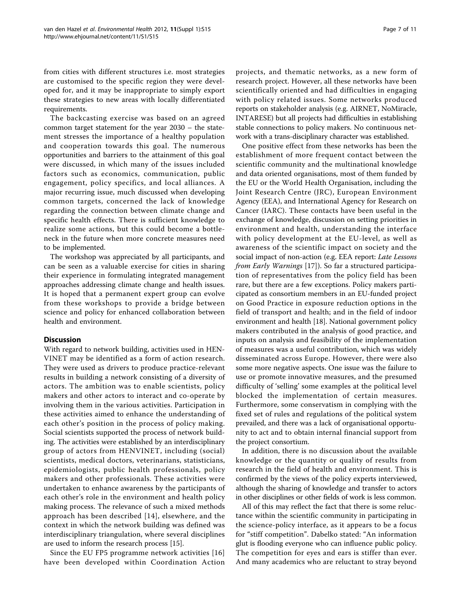from cities with different structures i.e. most strategies are customised to the specific region they were developed for, and it may be inappropriate to simply export these strategies to new areas with locally differentiated requirements.

The backcasting exercise was based on an agreed common target statement for the year 2030 – the statement stresses the importance of a healthy population and cooperation towards this goal. The numerous opportunities and barriers to the attainment of this goal were discussed, in which many of the issues included factors such as economics, communication, public engagement, policy specifics, and local alliances. A major recurring issue, much discussed when developing common targets, concerned the lack of knowledge regarding the connection between climate change and specific health effects. There is sufficient knowledge to realize some actions, but this could become a bottleneck in the future when more concrete measures need to be implemented.

The workshop was appreciated by all participants, and can be seen as a valuable exercise for cities in sharing their experience in formulating integrated management approaches addressing climate change and health issues. It is hoped that a permanent expert group can evolve from these workshops to provide a bridge between science and policy for enhanced collaboration between health and environment.

#### **Discussion**

With regard to network building, activities used in HEN-VINET may be identified as a form of action research. They were used as drivers to produce practice-relevant results in building a network consisting of a diversity of actors. The ambition was to enable scientists, policy makers and other actors to interact and co-operate by involving them in the various activities. Participation in these activities aimed to enhance the understanding of each other's position in the process of policy making. Social scientists supported the process of network building. The activities were established by an interdisciplinary group of actors from HENVINET, including (social) scientists, medical doctors, veterinarians, statisticians, epidemiologists, public health professionals, policy makers and other professionals. These activities were undertaken to enhance awareness by the participants of each other's role in the environment and health policy making process. The relevance of such a mixed methods approach has been described [[14](#page-10-0)], elsewhere, and the context in which the network building was defined was interdisciplinary triangulation, where several disciplines are used to inform the research process [[15\]](#page-10-0).

Since the EU FP5 programme network activities [[16](#page-10-0)] have been developed within Coordination Action projects, and thematic networks, as a new form of research project. However, all these networks have been scientifically oriented and had difficulties in engaging with policy related issues. Some networks produced reports on stakeholder analysis (e.g. AIRNET, NoMiracle, INTARESE) but all projects had difficulties in establishing stable connections to policy makers. No continuous network with a trans-disciplinary character was established.

One positive effect from these networks has been the establishment of more frequent contact between the scientific community and the multinational knowledge and data oriented organisations, most of them funded by the EU or the World Health Organisation, including the Joint Research Centre (JRC), European Environment Agency (EEA), and International Agency for Research on Cancer (IARC). These contacts have been useful in the exchange of knowledge, discussion on setting priorities in environment and health, understanding the interface with policy development at the EU-level, as well as awareness of the scientific impact on society and the social impact of non-action (e.g. EEA report: Late Lessons from Early Warnings [\[17](#page-10-0)]). So far a structured participation of representatives from the policy field has been rare, but there are a few exceptions. Policy makers participated as consortium members in an EU-funded project on Good Practice in exposure reduction options in the field of transport and health; and in the field of indoor environment and health [[18\]](#page-10-0). National government policy makers contributed in the analysis of good practice, and inputs on analysis and feasibility of the implementation of measures was a useful contribution, which was widely disseminated across Europe. However, there were also some more negative aspects. One issue was the failure to use or promote innovative measures, and the presumed difficulty of 'selling' some examples at the political level blocked the implementation of certain measures. Furthermore, some conservatism in complying with the fixed set of rules and regulations of the political system prevailed, and there was a lack of organisational opportunity to act and to obtain internal financial support from the project consortium.

In addition, there is no discussion about the available knowledge or the quantity or quality of results from research in the field of health and environment. This is confirmed by the views of the policy experts interviewed, although the sharing of knowledge and transfer to actors in other disciplines or other fields of work is less common.

All of this may reflect the fact that there is some reluctance within the scientific community in participating in the science-policy interface, as it appears to be a focus for "stiff competition". Dabelko stated: "An information glut is flooding everyone who can influence public policy. The competition for eyes and ears is stiffer than ever. And many academics who are reluctant to stray beyond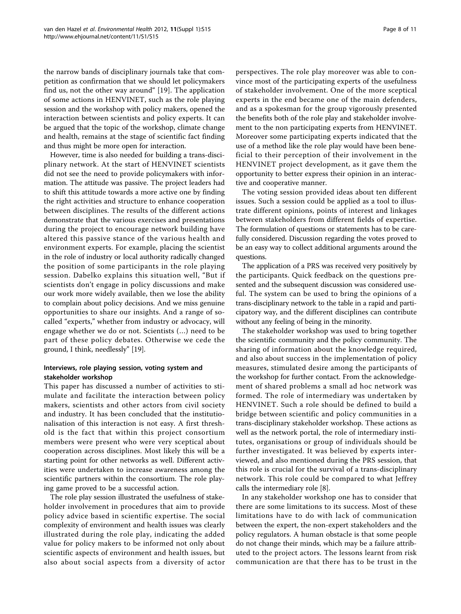the narrow bands of disciplinary journals take that competition as confirmation that we should let policymakers find us, not the other way around" [[19\]](#page-10-0). The application of some actions in HENVINET, such as the role playing session and the workshop with policy makers, opened the interaction between scientists and policy experts. It can be argued that the topic of the workshop, climate change and health, remains at the stage of scientific fact finding and thus might be more open for interaction.

However, time is also needed for building a trans-disciplinary network. At the start of HENVINET scientists did not see the need to provide policymakers with information. The attitude was passive. The project leaders had to shift this attitude towards a more active one by finding the right activities and structure to enhance cooperation between disciplines. The results of the different actions demonstrate that the various exercises and presentations during the project to encourage network building have altered this passive stance of the various health and environment experts. For example, placing the scientist in the role of industry or local authority radically changed the position of some participants in the role playing session. Dabelko explains this situation well, "But if scientists don't engage in policy discussions and make our work more widely available, then we lose the ability to complain about policy decisions. And we miss genuine opportunities to share our insights. And a range of socalled "experts," whether from industry or advocacy, will engage whether we do or not. Scientists (…) need to be part of these policy debates. Otherwise we cede the ground, I think, needlessly" [\[19\]](#page-10-0).

# Interviews, role playing session, voting system and stakeholder workshop

This paper has discussed a number of activities to stimulate and facilitate the interaction between policy makers, scientists and other actors from civil society and industry. It has been concluded that the institutionalisation of this interaction is not easy. A first threshold is the fact that within this project consortium members were present who were very sceptical about cooperation across disciplines. Most likely this will be a starting point for other networks as well. Different activities were undertaken to increase awareness among the scientific partners within the consortium. The role playing game proved to be a successful action.

The role play session illustrated the usefulness of stakeholder involvement in procedures that aim to provide policy advice based in scientific expertise. The social complexity of environment and health issues was clearly illustrated during the role play, indicating the added value for policy makers to be informed not only about scientific aspects of environment and health issues, but also about social aspects from a diversity of actor perspectives. The role play moreover was able to convince most of the participating experts of the usefulness of stakeholder involvement. One of the more sceptical experts in the end became one of the main defenders, and as a spokesman for the group vigorously presented the benefits both of the role play and stakeholder involvement to the non participating experts from HENVINET. Moreover some participating experts indicated that the use of a method like the role play would have been beneficial to their perception of their involvement in the HENVINET project development, as it gave them the opportunity to better express their opinion in an interactive and cooperative manner.

The voting session provided ideas about ten different issues. Such a session could be applied as a tool to illustrate different opinions, points of interest and linkages between stakeholders from different fields of expertise. The formulation of questions or statements has to be carefully considered. Discussion regarding the votes proved to be an easy way to collect additional arguments around the questions.

The application of a PRS was received very positively by the participants. Quick feedback on the questions presented and the subsequent discussion was considered useful. The system can be used to bring the opinions of a trans-disciplinary network to the table in a rapid and participatory way, and the different disciplines can contribute without any feeling of being in the minority.

The stakeholder workshop was used to bring together the scientific community and the policy community. The sharing of information about the knowledge required, and also about success in the implementation of policy measures, stimulated desire among the participants of the workshop for further contact. From the acknowledgement of shared problems a small ad hoc network was formed. The role of intermediary was undertaken by HENVINET. Such a role should be defined to build a bridge between scientific and policy communities in a trans-disciplinary stakeholder workshop. These actions as well as the network portal, the role of intermediary institutes, organisations or group of individuals should be further investigated. It was believed by experts interviewed, and also mentioned during the PRS session, that this role is crucial for the survival of a trans-disciplinary network. This role could be compared to what Jeffrey calls the intermediary role [[8\]](#page-9-0).

In any stakeholder workshop one has to consider that there are some limitations to its success. Most of these limitations have to do with lack of communication between the expert, the non-expert stakeholders and the policy regulators. A human obstacle is that some people do not change their minds, which may be a failure attributed to the project actors. The lessons learnt from risk communication are that there has to be trust in the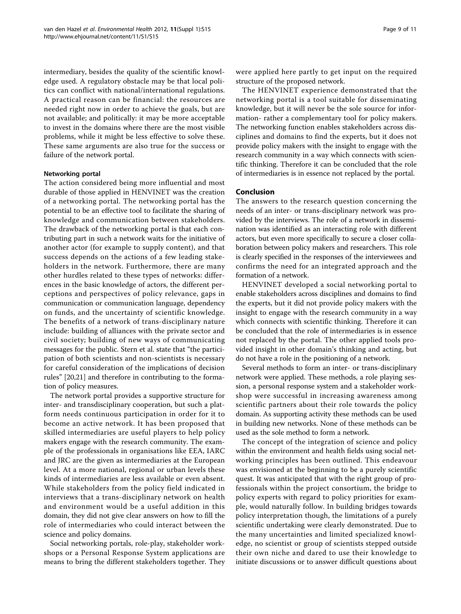intermediary, besides the quality of the scientific knowledge used. A regulatory obstacle may be that local politics can conflict with national/international regulations. A practical reason can be financial: the resources are needed right now in order to achieve the goals, but are not available; and politically: it may be more acceptable to invest in the domains where there are the most visible problems, while it might be less effective to solve these. These same arguments are also true for the success or failure of the network portal.

#### Networking portal

The action considered being more influential and most durable of those applied in HENVINET was the creation of a networking portal. The networking portal has the potential to be an effective tool to facilitate the sharing of knowledge and communication between stakeholders. The drawback of the networking portal is that each contributing part in such a network waits for the initiative of another actor (for example to supply content), and that success depends on the actions of a few leading stakeholders in the network. Furthermore, there are many other hurdles related to these types of networks: differences in the basic knowledge of actors, the different perceptions and perspectives of policy relevance, gaps in communication or communication language, dependency on funds, and the uncertainty of scientific knowledge. The benefits of a network of trans-disciplinary nature include: building of alliances with the private sector and civil society; building of new ways of communicating messages for the public. Stern et al. state that "the participation of both scientists and non-scientists is necessary for careful consideration of the implications of decision rules" [\[20,21\]](#page-10-0) and therefore in contributing to the formation of policy measures.

The network portal provides a supportive structure for inter- and transdisciplinary cooperation, but such a platform needs continuous participation in order for it to become an active network. It has been proposed that skilled intermediaries are useful players to help policy makers engage with the research community. The example of the professionals in organisations like EEA, IARC and JRC are the given as intermediaries at the European level. At a more national, regional or urban levels these kinds of intermediaries are less available or even absent. While stakeholders from the policy field indicated in interviews that a trans-disciplinary network on health and environment would be a useful addition in this domain, they did not give clear answers on how to fill the role of intermediaries who could interact between the science and policy domains.

Social networking portals, role-play, stakeholder workshops or a Personal Response System applications are means to bring the different stakeholders together. They were applied here partly to get input on the required structure of the proposed network.

The HENVINET experience demonstrated that the networking portal is a tool suitable for disseminating knowledge, but it will never be the sole source for information- rather a complementary tool for policy makers. The networking function enables stakeholders across disciplines and domains to find the experts, but it does not provide policy makers with the insight to engage with the research community in a way which connects with scientific thinking. Therefore it can be concluded that the role of intermediaries is in essence not replaced by the portal.

#### Conclusion

The answers to the research question concerning the needs of an inter- or trans-disciplinary network was provided by the interviews. The role of a network in dissemination was identified as an interacting role with different actors, but even more specifically to secure a closer collaboration between policy makers and researchers. This role is clearly specified in the responses of the interviewees and confirms the need for an integrated approach and the formation of a network.

HENVINET developed a social networking portal to enable stakeholders across disciplines and domains to find the experts, but it did not provide policy makers with the insight to engage with the research community in a way which connects with scientific thinking. Therefore it can be concluded that the role of intermediaries is in essence not replaced by the portal. The other applied tools provided insight in other domain's thinking and acting, but do not have a role in the positioning of a network.

Several methods to form an inter- or trans-disciplinary network were applied. These methods, a role playing session, a personal response system and a stakeholder workshop were successful in increasing awareness among scientific partners about their role towards the policy domain. As supporting activity these methods can be used in building new networks. None of these methods can be used as the sole method to form a network.

The concept of the integration of science and policy within the environment and health fields using social networking principles has been outlined. This endeavour was envisioned at the beginning to be a purely scientific quest. It was anticipated that with the right group of professionals within the project consortium, the bridge to policy experts with regard to policy priorities for example, would naturally follow. In building bridges towards policy interpretation though, the limitations of a purely scientific undertaking were clearly demonstrated. Due to the many uncertainties and limited specialized knowledge, no scientist or group of scientists stepped outside their own niche and dared to use their knowledge to initiate discussions or to answer difficult questions about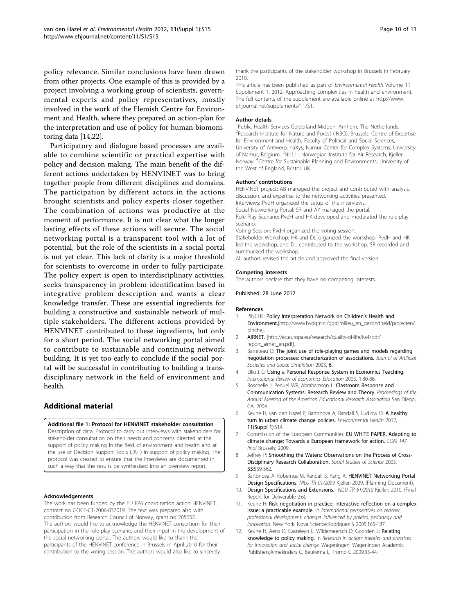<span id="page-9-0"></span>policy relevance. Similar conclusions have been drawn from other projects. One example of this is provided by a project involving a working group of scientists, governmental experts and policy representatives, mostly involved in the work of the Flemish Centre for Environment and Health, where they prepared an action-plan for the interpretation and use of policy for human biomonitoring data [[14,22\]](#page-10-0).

Participatory and dialogue based processes are available to combine scientific or practical expertise with policy and decision making. The main benefit of the different actions undertaken by HENVINET was to bring together people from different disciplines and domains. The participation by different actors in the actions brought scientists and policy experts closer together. The combination of actions was productive at the moment of performance. It is not clear what the longer lasting effects of these actions will secure. The social networking portal is a transparent tool with a lot of potential, but the role of the scientists in a social portal is not yet clear. This lack of clarity is a major threshold for scientists to overcome in order to fully participate. The policy expert is open to interdisciplinary activities, seeks transparency in problem identification based in integrative problem description and wants a clear knowledge transfer. These are essential ingredients for building a constructive and sustainable network of multiple stakeholders. The different actions provided by HENVINET contributed to these ingredients, but only for a short period. The social networking portal aimed to contribute to sustainable and continuing network building. It is yet too early to conclude if the social portal will be successful in contributing to building a transdisciplinary network in the field of environment and health.

# Additional material

[Additional file 1: P](http://www.biomedcentral.com/content/supplementary/1476-069X-11-S1-S15-S1.pdf)rotocol for HENVINET stakeholder consultation Description of data: Protocol to carry out interviews with stakeholders for stakeholder consultation on their needs and concerns directed at the support of policy making in the field of environment and health and at the use of Decision Support Tools (DST) in support of policy making. The protocol was created to ensure that the interviews are documented in such a way that the results be synthesised into an overview report.

#### Acknowledgements

The work has been funded by the EU FP6 coordination action HENVINET, contract no GOCE-CT-2006-037019. The text was prepared also with contribution from Research Council of Norway, grant no 205652. The authors would like to acknowledge the HENVINET consortium for their participation in the role-play scenario, and their input in the development of the social networking portal. The authors would like to thank the participants of the HENVINET conference in Brussels in April 2010 for their contribution to the voting session. The authors would also like to sincerely

thank the participants of the stakeholder workshop in Brussels in February 2010.

This article has been published as part of Environmental Health Volume 11 Supplement 1, 2012: Approaching complexities in health and environment. The full contents of the supplement are available online at [http://www.](http://www.ehjournal.net/supplements/11/S1) [ehjournal.net/supplements/11/S1](http://www.ehjournal.net/supplements/11/S1).

#### Author details

<sup>1</sup>Public Health Services Gelderland-Midden, Arnhem, The Netherlands <sup>2</sup>Research Institute for Nature and Forest (INBO), Brussels; Centre of Expertise for Environment and Health, Faculty of Political and Social Sciences, University of Antwerp; naXys, Namur Center for Complex Systems, University of Namur, Belgium. <sup>3</sup>NILU - Norwegian Institute for Air Research, Kjeller Norway. <sup>4</sup> Centre for Sustainable Planning and Environments, University of the West of England, Bristol, UK.

#### Authors' contributions

HENVINET project: AB managed the project and contributed with analysis, discussion, and expertise to the networking activities presented. Interviews: PvdH organized the setup of the interviews. Social Networking Portal: SR and AY managed the portal. Role-Play Scenario: PvdH and HK developed and moderated the role-play scenario.

Voting Session: PvdH organized the voting session.

Stakeholder Workshop: HK and DL organized the workshop. PvdH and HK led the workshop, and DL contributed to the workshop. SR recorded and summarized the workshop.

All authors revised the article and approved the final version.

#### Competing interests

The authors declare that they have no competing interests.

Published: 28 June 2012

#### References

- PINCHE: Policy Interpretation Network on Children's Health and Environment.[\[http://www.hvdgm.nl/ggd/milieu\\_en\\_gezondheid/projecten/](http://www.hvdgm.nl/ggd/milieu_en_gezondheid/projecten/pinche) [pinche](http://www.hvdgm.nl/ggd/milieu_en_gezondheid/projecten/pinche)].
- 2. AIRNET. [[http://ec.europa.eu/research/quality-of-life/ka4/pdf/](http://ec.europa.eu/research/quality-of-life/ka4/pdf/report_airnet_en.pdf) [report\\_airnet\\_en.pdf\]](http://ec.europa.eu/research/quality-of-life/ka4/pdf/report_airnet_en.pdf).
- 3. Barreteau O: The joint use of role-playing games and models regarding negotiation processes: characterization of associations. Journal of Artificial Societies and Social Simulation 2003, 6.
- 4. Elliott C: Using a Personal Response System in Economics Teaching. International Review of Economics Education 2003, 1:80-86.
- 5. Roschelle J, Penuel WR, Abrahamson L: Classroom Response and Communication Systems: Research Review and Theory. Proceedings of the Annual Meeting of the American Educational Research Association San Diego, CA; 2004.
- 6. Keune H, van den Hazel P, Bartonova A, Randall S, Ludlow D: A healthy turn in urban climate change policies. Environmental Health 2012, 11(Suppl 1):S14.
- 7. Commission of the European Communities: EU WHITE PAPER. Adapting to climate change: Towards a European framework for action. COM 147 final Brussels; 2009.
- 8. Jeffrey P: Smoothing the Waters: Observations on the Process of Cross-Disciplinary Research Collaboration. Social Studies of Science 2003, 33:539-562.
- 9. Bartonova A, Kobernus M, Randall S, Yang A: HENVINET Networking Portal Design Specifications. NILU TR 01/2009 Kjeller; 2009, (Planning Document).
- 10. Design Specifications and Extensions. NILU TR 61/2010 Kjeller; 2010, (Final Report for Deliverable 2.6).
- 11. Keune H: Risk negotiation in practice: interactive reflection on a complex issue: a practicable example. In International perspectives on teacher professional development: changes influenced by politics, pedagogy and innovation. New York: Nova Science;Rodriguez S 2005:165-187.
- 12. Keune H, Aerts D, Casteleyn L, Wildemeersch D, Goorden L: Relating knowledge to policy making. In Research in action: theories and practices for innovation and social change. Wageningen: Wageningen Academic Publishers;Almekinders C, Beukema L, Tromp C 2009:33-44.